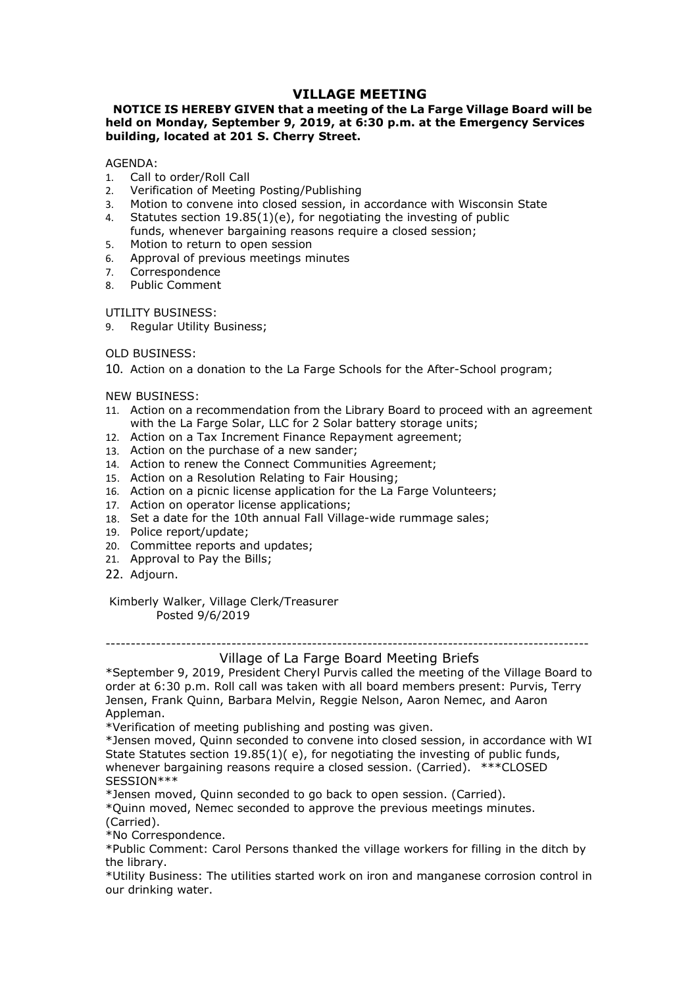## VILLAGE MEETING<br>at a meeting of the La Farge Village Board will be<br>, 2019, at 6:30 p.m. at the Emergency Services<br>erry Street. **VILLAGE MEETING<br>NOTICE IS HEREBY GIVEN that a meeting of the La Farge Village Board will be<br>eld on Monday, September 9, 2019, at 6:30 p.m. at the Emergency Services<br>GENDA:<br>Call to order/Roll Call VILLAGE MEETING<br>
WILLAGE MEETING**<br>
held on Monday, September 9, 2019, at 6:30 p.m. at the Emergency Services<br>
building, located at 201 S. Cherry Street.<br>
AGENDA:<br>  $\frac{1}{2}$  Call to order/Roll Call<br>
2. Verification of Meet **VILLAGE MEETING<br>
WILLAGE MEETING**<br> **NOTICE IS HEREBY GIVEN that a meeting of the La Farge Village Board will be<br>
held on Monday, September 9, 2019, at 6:30 p.m. at the Emergency Services<br>
puilding, located at 201 S. Cherr VILLAGE MEETING<br>
WILLAGE MEETING**<br> **NOTICE IS HEREBY GIVEN that a meeting of the La Farge Village Board will be<br>
held on Monday, September 9, 2019, at 6:30 p.m. at the Emergency Services<br>
building, located at 201 S. Cherr VILLAGE MEETING<br>
VILLAGE MEETING**<br> **held on Monday, September 9, 2019, at 6:30 p.m. at the Emergency Services<br>
building, located at 201 S. Cherry Street.<br>
AGENDA:<br>
1. Call to order/Roll Call<br>
2. Verification of Meeting Po VILLAGE MEETING**<br> **NOTICE IS HEREBY GIVEN that a meeting of the La Farge Village Board will be<br>
held on Monday, September 9, 2019, at 6:30 p.m. at the Emergency Services<br>
building, located at 201 S. Cherry Street.<br>
AGEND VILLAGE MEETING**<br> **NOTICE IS HEREBY GIVEN that a meeting of the La Farge Village Board will be<br>
held on Monday, September 9, 2019, at 6:30 p.m. at the Emergency Services<br>
building, located at 201 S. Cherry Street.<br>
AGENDA VILLAGE MEETING**<br>**CONDUCT STATE CONCIVENT WAT A meeting of the La Farge Village Board will be**<br>**Ion Monday, September 9, 2019, at 6:30 p.m. at the Emergency Services**<br>ding, located at 201 S. Cherry Street.<br>NDA:<br>Call to or **NOTICE IS HEREBY GIVEN WILLAGE MEETING**<br> **NOTICE IS HEREBY GIVEN that a meeting of the La Farge Village Board will be<br>
held on Monday, September 9, 2019, at 6:30 p.m. at the Emergency Services<br>
building, located at 201 S. NOTICE IS HEREBY GIVEN that a meeting of the La Farge Village Board will be held on Monday, September 9, 2019, at 6:30 p.m. at the Emergency Services building, located at 201 S. Cherry Street.<br>AGENDA:<br>AGENDA:<br>1. Call to o VILLAGE MEETING**<br> **VILLAGE MEETING**<br> **NOTICE IS HEREBY GIVEN that a meeting of the La Farge Village Board<br>
<b>building, located at 201 S. Cherry Street.**<br>
AGENDA:<br>
1. Call to order/Roll Call<br>
1. Call to order/Roll Call<br>
2. **VILLAGE MEETING**<br> **WILLAGE MEETING**<br> **NOTICE IS HEREBY GIVEN that a meeting of the La Farge Village Boa<br>
<b>held on Monday, September 9, 2019, at 6:30 p.m. at the Emergency S<br>
building, located at 201 S. Cherry Street.<br>
AGE NOTICE IS HEREBY GIVEN that a meeting of the La Farge Village Board will be held on Monday, September 9, 2019, at 6:30 p.m. at the Emergency Services building, located at 201 S. Cherry Street.<br>AGENDA:<br>AGENDA:<br>AGENDA:<br>2. V VILLAGE MEETING**<br> **VILLAGE MEETING**<br> **NOTICE IS HEREBY GIVEN that a meeting of the La Farge Village held on Monday, September 9, 2019, at 6:30 p.m. at the Emergen<br>
building, located at 201 S. Cherry Street.<br>
AGENDA:<br>
1. C VILLAGE MEETING**<br> **NOTICE IS HEREBY GIVEN that a meeting of the La Farge Village Board will be<br>
held on Monday, September 9, 2019, at 6:30 p.m. at the Emergency Services<br>
building, located at 201 S. Cherry Street.<br>
A. Cal VILLAGE MEETING**<br> **VILLAGE MEETING**<br> **NOTICE IS HEREBY GIVEN that a meeting of the La Farge Village B<br>
<b>building, located at 201 S. Cherry Street.**<br>
AGENDA:<br>
1. Call to order/Roll Call<br>
2. Verification of Meeting Posting **NOTICE IS HEREBY GIVEN that a meeting of the La Farge Village Board will be<br>
huilding, located at 201 S. Cherry Street.<br>
AGENDA:<br>
La Call to order/Roll Call<br>
1. Call to order/Roll Call<br>
2. Verification of Meeting Posting/** with the La Farge Solar, LLC for 2 Solar battery storage units;

AGENDA:

- 
- 
- 
- 
- 
- 
- 7. Correspondence
- 

- neution Fromany, septentioner sy zoursy are 0.50 pm. at the emergency services<br>
AGENDA:<br>
1. Call to order/Roll Call<br>
2. Verification of Meeting Posting/Publishing<br>
2. Verification of Meeting Posting/Publishing<br>
3. Motion t Backnota;<br>
AGENDA:<br>
ACENDA:<br>
ACENDA:<br>
1. Call to order/Roll Call<br>
1. Call to order/Roll Call<br>
4. Statutes section 19.85(1)(e.), for negotiating the investing of public<br>
4. Statutes section 19.85(1)(e.), for negotiating the AGENDA:<br>
1. Call to order/Roll Call<br>
2. Verification of Meeting Posting/Publishing<br>
2. Verification to convene into closed session, in accordance with Wisconsin State<br>
4. Statutes section 19.85(1)(e), for negotiating the i Mathemath Conder/Roll Call<br>
1. Call to order/Roll Call<br>
2. Verfindation of Meeting Posting/Publishing<br>
4. Statutes section 19.85(1)(e.) for negotiating the investing of public<br>
4. Statutes section 19.85(1)(e.) for negotiat 1. Can to outer how the main of Meeting Posting/Publishing<br>
2. Verification of Meeting Posting/Publishing<br>
4. Statutes section 19.85(1)(e), for negotiating the investing of public<br>
4. Statutes section 19.85(1)(e), for nego 2.<br>
2. Ventication on releasing Postingy Poursinsing<br>
2. Motion to convene Into dosed session, in accordance with Wisconsin State<br>
4. Statutes section 19.85(1)(e), for negotiating tea loned ession;<br>
5. Motion to return to s. Photon two will be the lotted essayity, in accounted with miscolism.<br>
4. Statutes section 19.85(1)(e), for negotiating the investing of public<br>
5. Motion to return to open session require a closed session;<br>
6. Approval 4. Station 19.30, the system and many of the Bills;<br>
19. Indis, whenever bargaining reasons require a closed session;<br>
5. Notion to return to open session<br>
7. Correspondence<br>
8. Public Comment<br>
17. Litter of previous meeti 5. Motion to retreve loargaining resolution to retrain to permistant commissions in the Commission of previous meetings minutes<br>
2. Approval of previous meetings minutes<br>
2. Correspondence<br>
8. Public Comment<br>
2. Correspond 5. Proton to retain to open session<br>
2. Approval of previous meetings minutes<br>
2. Approval of previous meetings minutes<br>
2. Public Comment<br>
2. Regular Utility Business;<br>
2. Regular Utility Business;<br>
2. Regular Utility Bus XITLITY BUSINESS:<br>
IL Regular Utility Business;<br>
DLD BUSINESS:<br>
DLD BUSINESS:<br>
ILO Action on a donation to the La Farge Schools for the After-School program;<br>
NEW BUSINESS:<br>
WEW BUSINESS:<br>
WEW BUSINESS:<br>
WEW BUSINESS:<br>
Act 3USINESS:<br>
Sular Utility Business;<br>
INESS:<br>
INESS:<br>
INESS:<br>
INESS:<br>
INESS:<br>
INESS:<br>
INESS:<br>
INESS:<br>
INESS:<br>
INESS:<br>
INESS:<br>
INESS:<br>
INESS:<br>
INESS:<br>
INESS:<br>
INESS:<br>
INESS:<br>
INESS:<br>
INESS:<br>
INESS:<br>
INESS:<br>
INESS:<br>
INESS:<br>
IN
- 
- 
- 
- 
- 
- 
- 
- 
- 
- 
- 22. Adjourn.

OLD BUSINESS:<br>
10. Action on a donation to the La Farge Schools for the After-School program;<br>
NEW BUSINESS:<br>
11. Action on a recommendation from the Library Board to proceed with an agreement<br>
11. Action on a Far Incremen 10. Action on a donation to the La Farge Schools for the After-School program;<br>
NEW BUSINESS:<br>
2010 non a recommendation from the Library Board to proceed with an agreement<br>
21. Action on a Tax Increment Finance Repayment or vector at 6:30 p.m. Roll call was taken with the Library Board to proceed with an agreement<br>
1.1. Action on a Terry Solar Luck for 2 Solar battery storage units;<br>
2.2. Action on a Tax Increment Finance Repayment agreeme NEW BUSINESS:<br>
1. Action on a recommendation from the Library Board to proceed with an agreement<br>
1. With the La Farge Solar, LC for 2 Solar battery storage units;<br>
1.3. Action on a Tex Increment Finance Repaynent agreemen Appleman. <sup>22</sup> Interno on a Tax Increment Finance Repayment agreement;<br>
22. Action on a Tex Increment Finance Repayment agreement;<br>
43. Action to renew the Connect Communities Agreement;<br>
45. Action to renew the Connect Communities 12. Action on a Tax Increment Finance Repayment agreement;<br>
13. Action on the purchase of a new sander;<br>
14. Action to renew the Connect Communities Agreement;<br>
14. Action on a pisculum Realton Relating to Fair Housing;<br>
1 State State State State State State State State State State State State State State State State State Statutes Statutes Agreement;<br>
15. Action on a Resolution Relating to Fair Housing;<br>
17. Action on a petrator license app 14. Action to renew the Connect Communities Agreement;<br>15. Action on a Resolution Relating to Fair Housing;<br>16. Action on a picnt license applications;<br>16. Action on a picnt license applications;<br>18. Set a date for the 10t 16. Action on a picnic license application for the La Farge Volunteers;<br>
17. Action on operator license applications;<br>
18. Set a date for the 10th annual Fall Village-wide rummage sales;<br>
18. Set a date for the 10th annual 17. Action on operator license applications;<br>
18. Set a date for the 10th annual Fall Village-wide rummage sales;<br>
19. Police report/update;<br>
19. Nollee report/update;<br>
21. Approval to Pay the Bills;<br>
22. Adjourn.<br>
Kimberl 19. Police report/update;<br>
19. Police report/update;<br>
21. Committee reports and updates;<br>
21. Approval to Pay the Bills;<br>
22. Adjourn.<br>
Kimberly Walker, Village Clerk/Treasurer<br>
70sted 9/6/2019<br>
<br>
\*September 9, 2019, Presi 20. Committee reports and updates;<br>
22. Adjourn.<br>
22. Adjourn.<br>
22. Adjourn.<br>
Kimberly Walker, Village Clerk/Treasurer<br>
22. Adjourn.<br>
Kimberly Walker, Village of La Farge Board Meetting Briefs<br>
<sup>4</sup>September 2, 2019, Presid 21. Approval to Pay the Bills;<br>
22. Adjourn.<br>
21. Approval to Pay the Bills;<br>
22. Adjourn.<br>
Kimberly Walker, Village Clerk/Treasurer<br>
Posted 9/6/2019<br>

2019. President Cheryl Purvis called the meeting Briefs<br>
\*September 9, 22. Adjourn.<br>
22. Adjourn.<br>
Examples of the Village of La Farge Board Meetting Briefs<br>
\*September 9, 2019, President Cheryl Furvis called the meteting of the Village Board to<br>
started at 6:30 p.m. Roll call was taken with our drinking water.

SESSION\*\*\*

(Carried).